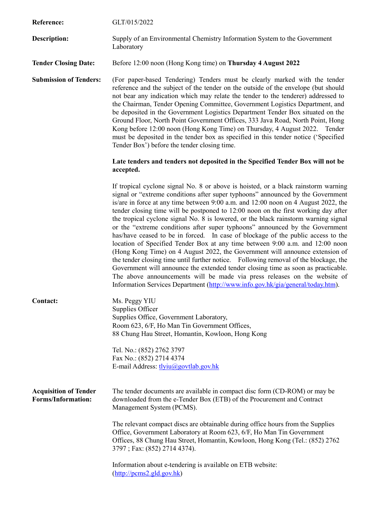| Reference:                                                | GLT/015/2022                                                                                                                                                                                                                                                                                                                                                                                                                                                                                                                                                                                                                                                                                                                                                                                                                                                                                                                                                                                                                                                                                                               |
|-----------------------------------------------------------|----------------------------------------------------------------------------------------------------------------------------------------------------------------------------------------------------------------------------------------------------------------------------------------------------------------------------------------------------------------------------------------------------------------------------------------------------------------------------------------------------------------------------------------------------------------------------------------------------------------------------------------------------------------------------------------------------------------------------------------------------------------------------------------------------------------------------------------------------------------------------------------------------------------------------------------------------------------------------------------------------------------------------------------------------------------------------------------------------------------------------|
| <b>Description:</b>                                       | Supply of an Environmental Chemistry Information System to the Government<br>Laboratory                                                                                                                                                                                                                                                                                                                                                                                                                                                                                                                                                                                                                                                                                                                                                                                                                                                                                                                                                                                                                                    |
| <b>Tender Closing Date:</b>                               | Before 12:00 noon (Hong Kong time) on Thursday 4 August 2022                                                                                                                                                                                                                                                                                                                                                                                                                                                                                                                                                                                                                                                                                                                                                                                                                                                                                                                                                                                                                                                               |
| <b>Submission of Tenders:</b>                             | (For paper-based Tendering) Tenders must be clearly marked with the tender<br>reference and the subject of the tender on the outside of the envelope (but should<br>not bear any indication which may relate the tender to the tenderer) addressed to<br>the Chairman, Tender Opening Committee, Government Logistics Department, and<br>be deposited in the Government Logistics Department Tender Box situated on the<br>Ground Floor, North Point Government Offices, 333 Java Road, North Point, Hong<br>Kong before 12:00 noon (Hong Kong Time) on Thursday, 4 August 2022. Tender<br>must be deposited in the tender box as specified in this tender notice ('Specified<br>Tender Box') before the tender closing time.                                                                                                                                                                                                                                                                                                                                                                                              |
|                                                           | Late tenders and tenders not deposited in the Specified Tender Box will not be<br>accepted.                                                                                                                                                                                                                                                                                                                                                                                                                                                                                                                                                                                                                                                                                                                                                                                                                                                                                                                                                                                                                                |
|                                                           | If tropical cyclone signal No. 8 or above is hoisted, or a black rainstorm warning<br>signal or "extreme conditions after super typhoons" announced by the Government<br>is/are in force at any time between 9:00 a.m. and 12:00 noon on 4 August 2022, the<br>tender closing time will be postponed to 12:00 noon on the first working day after<br>the tropical cyclone signal No. 8 is lowered, or the black rainstorm warning signal<br>or the "extreme conditions after super typhoons" announced by the Government<br>has/have ceased to be in forced. In case of blockage of the public access to the<br>location of Specified Tender Box at any time between 9:00 a.m. and 12:00 noon<br>(Hong Kong Time) on 4 August 2022, the Government will announce extension of<br>the tender closing time until further notice. Following removal of the blockage, the<br>Government will announce the extended tender closing time as soon as practicable.<br>The above announcements will be made via press releases on the website of<br>Information Services Department (http://www.info.gov.hk/gia/general/today.htm). |
| Contact:                                                  | Ms. Peggy YIU<br>Supplies Officer<br>Supplies Office, Government Laboratory,<br>Room 623, 6/F, Ho Man Tin Government Offices,<br>88 Chung Hau Street, Homantin, Kowloon, Hong Kong                                                                                                                                                                                                                                                                                                                                                                                                                                                                                                                                                                                                                                                                                                                                                                                                                                                                                                                                         |
|                                                           | Tel. No.: (852) 2762 3797<br>Fax No.: (852) 2714 4374<br>E-mail Address: tlyiu@govtlab.gov.hk                                                                                                                                                                                                                                                                                                                                                                                                                                                                                                                                                                                                                                                                                                                                                                                                                                                                                                                                                                                                                              |
| <b>Acquisition of Tender</b><br><b>Forms/Information:</b> | The tender documents are available in compact disc form (CD-ROM) or may be<br>downloaded from the e-Tender Box (ETB) of the Procurement and Contract<br>Management System (PCMS).                                                                                                                                                                                                                                                                                                                                                                                                                                                                                                                                                                                                                                                                                                                                                                                                                                                                                                                                          |
|                                                           | The relevant compact discs are obtainable during office hours from the Supplies<br>Office, Government Laboratory at Room 623, 6/F, Ho Man Tin Government<br>Offices, 88 Chung Hau Street, Homantin, Kowloon, Hong Kong (Tel.: (852) 2762<br>3797; Fax: (852) 2714 4374).                                                                                                                                                                                                                                                                                                                                                                                                                                                                                                                                                                                                                                                                                                                                                                                                                                                   |
|                                                           | Information about e-tendering is available on ETB website:<br>$(\frac{http://pcms2-gld.gov.hk})$                                                                                                                                                                                                                                                                                                                                                                                                                                                                                                                                                                                                                                                                                                                                                                                                                                                                                                                                                                                                                           |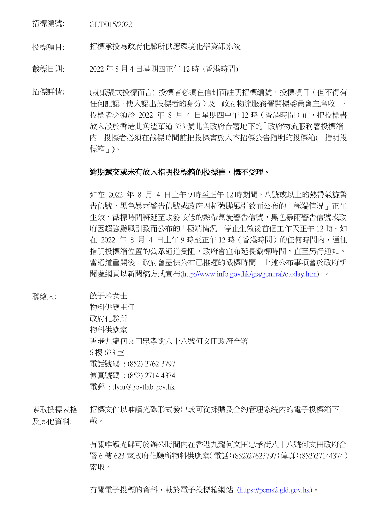招標編號: GLT/015/2022

投標項目: 招標承投為政府化驗所供應環境化學資訊系統

截標日期: 2022 年 8 月 4 日星期四正午 12 時 (香港時間)

招標詳情: (就紙張式投標而言) 投標者必須在信封面註明招標編號、投標項目(但不得有 任何記認,使人認出投標者的身分)及「政府物流服務署開標委員會主席收」。 投標者必須於 2022 年 8 月 4 日星期四中午 12 時 (香港時間)前, 把投標書 放入設於香港北角渣華道 333 號北角政府合署地下的「政府物流服務署投標箱」 內。投摽者必須在截標時間前把投摽書放入本招標公告指明的投標箱(「指明投 標箱」)。

## 逾期遞交或未有放入指明投標箱的投摽書,概不受理。

如在 2022 年 8 月 4 日上午 9 時至正午 12 時期間,八號或以上的熱帶氣旋警 告信號,黑色暴雨警告信號或政府因超強颱風引致而公布的「極端情況」正在 生效,截標時間將延至改發較低的熱帶氣旋警告信號,黑色暴雨警告信號或政 府因超強颱風引致而公布的「極端情況」停止生效後首個工作天正午 12 時。如 在 2022 年 8 月 4 日上午 9 時至正午 12 時(香港時間)的任何時間內,通往 指明投摽箱位置的公眾通道受阻,政府會宣布延長截標時間,直至另行通知。 當通道重開後,政府會盡快公布已推遲的截標時間。上述公布事項會於政府新 聞處網頁以新聞稿方式宣布[\(http://www.info.gov.hk/gia/general/ctoday.htm\)](http://www.info.gov.hk/gia/general/ctoday.htm) 。

聯絡人: 饒子玲女士

物料供應主任 政府化驗所 物料供應室 香港九龍何文田忠孝街八十八號何文田政府合署 6 樓 623 室 電話號碼 : (852) 2762 3797 傳真號碼 : (852) 2714 4374 電郵 : tlyiu@govtlab.gov.hk

索取投標表格 及其他資料: 招標文件以唯讀光碟形式發出或可從採購及合約管理系統內的電子投標箱下 載。

> 有關唯讀光碟可於辦公時間內在香港九龍何文田忠孝街八十八號何文田政府合 署 6 樓 623 室政府化驗所物料供應室(電話:(852)27623797;傳真:(852)27144374) 索取。

有關電子投標的資料,載於電子投標箱網站 ([https://pcms2.gld.gov.hk\)](https://pcms2.gld.gov.hk/)。